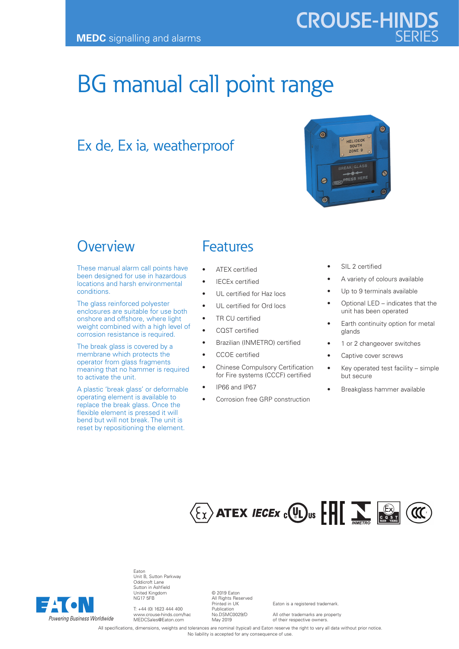# **CROUSE-HINDS**

 $\circledcirc$ 

 $\mathcal{P}$ 

## BG manual call point range

## Ex de, Ex ia, weatherproof

### **Overview**

These manual alarm call points have been designed for use in hazardous locations and harsh environmental conditions.

The glass reinforced polyester enclosures are suitable for use both onshore and offshore, where light weight combined with a high level of corrosion resistance is required.

The break glass is covered by a membrane which protects the operator from glass fragments meaning that no hammer is required to activate the unit.

A plastic 'break glass' or deformable operating element is available to replace the break glass. Once the flexible element is pressed it will bend but will not break. The unit is reset by repositioning the element.

#### Features

- **ATEX** certified
- **IECEx certified**
- UL certified for Haz locs
- UL certified for Ord locs
- TR CU certified
- CQST certified
- Brazilian (INMETRO) certified
- CCOE certified
- **Chinese Compulsory Certification** for Fire systems (CCCF) certified
- IP66 and IP67
	- Corrosion free GRP construction

SIL 2 certified

HELIDECK SOUTH ZONE S

REAK GLASS RESS HERE

- A variety of colours available
- Up to 9 terminals available
- Optional LED indicates that the unit has been operated

 $\Omega$ 

Ō.

- Earth continuity option for metal glands
- 1 or 2 changeover switches
- Captive cover screws
- Key operated test facility simple but secure
- Breakglass hammer available





Eaton Unit B, Sutton Parkway Oddicroft Lane Sutton in Ashfield United Kingdom NG17 5FB

T: +44 (0) 1623 444 400 www.crouse-hinds.com/hac MEDCSales@Eaton.com

© 2019 Eaton All Rights Reserved Printed in UK Publication No.DSMC0029/D May 2019

Eaton is a registered trademark.

All other trademarks are property of their respective owners.

All specifications, dimensions, weights and tolerances are nominal (typical) and Eaton reserve the right to vary all data without prior notice. No liability is accepted for any consequence of use.